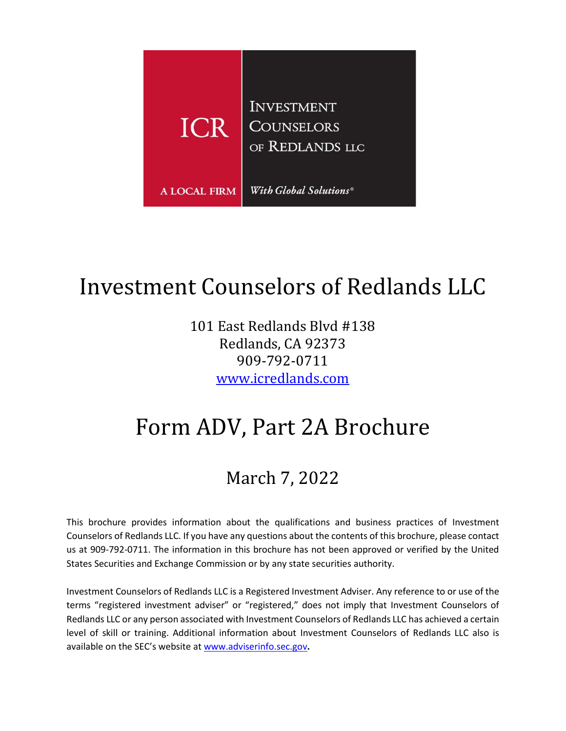

# <span id="page-0-0"></span>Investment Counselors of Redlands LLC

101 East Redlands Blvd #138 Redlands, CA 92373 909-792-0711 [www.icredlands.com](http://www.icredlands.com/)

# Form ADV, Part 2A Brochure

## March 7, 2022

This brochure provides information about the qualifications and business practices of Investment Counselors of Redlands LLC. If you have any questions about the contents of this brochure, please contact us at 909-792-0711. The information in this brochure has not been approved or verified by the United States Securities and Exchange Commission or by any state securities authority.

Investment Counselors of Redlands LLC is a Registered Investment Adviser. Any reference to or use of the terms "registered investment adviser" or "registered," does not imply that Investment Counselors of Redlands LLC or any person associated with Investment Counselors of Redlands LLC has achieved a certain level of skill or training. Additional information about Investment Counselors of Redlands LLC also is available on the SEC's website at [www.adviserinfo.sec.gov](http://www.adviserinfo.sec.gov/)**.**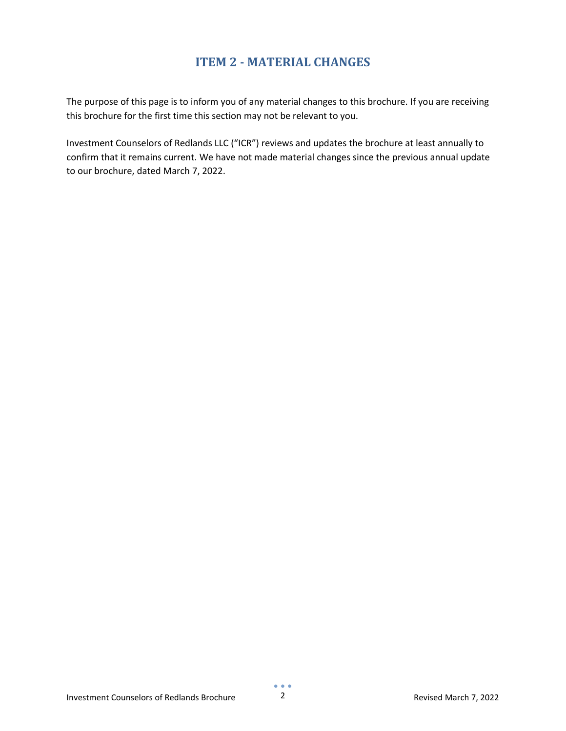## **ITEM 2 - MATERIAL CHANGES**

<span id="page-1-0"></span>The purpose of this page is to inform you of any material changes to this brochure. If you are receiving this brochure for the first time this section may not be relevant to you.

Investment Counselors of Redlands LLC ("ICR") reviews and updates the brochure at least annually to confirm that it remains current. We have not made material changes since the previous annual update to our brochure, dated March 7, 2022.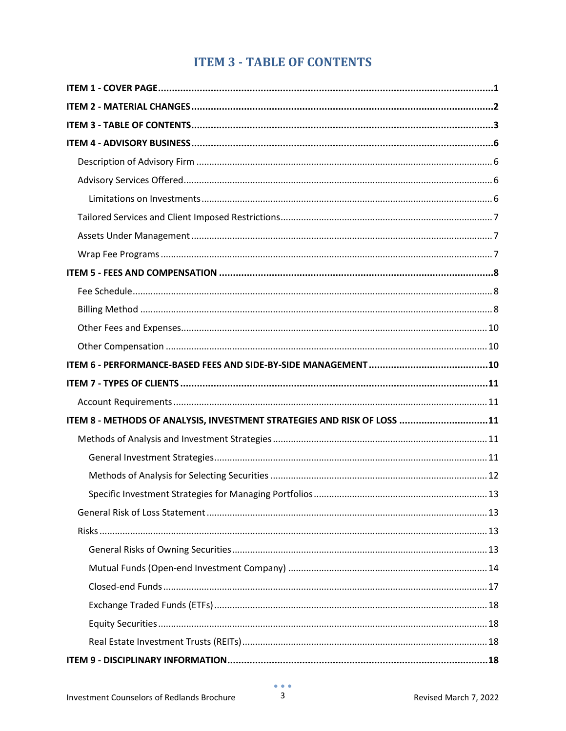## **ITEM 3 - TABLE OF CONTENTS**

<span id="page-2-0"></span>

| ITEM 8 - METHODS OF ANALYSIS, INVESTMENT STRATEGIES AND RISK OF LOSS 11 |  |
|-------------------------------------------------------------------------|--|
|                                                                         |  |
|                                                                         |  |
|                                                                         |  |
|                                                                         |  |
|                                                                         |  |
|                                                                         |  |
|                                                                         |  |
|                                                                         |  |
|                                                                         |  |
|                                                                         |  |
|                                                                         |  |
|                                                                         |  |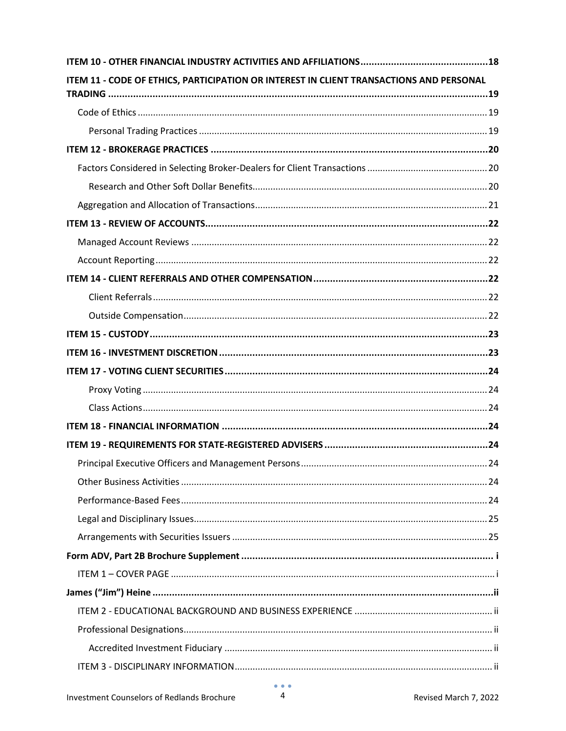| ITEM 11 - CODE OF ETHICS, PARTICIPATION OR INTEREST IN CLIENT TRANSACTIONS AND PERSONAL |  |
|-----------------------------------------------------------------------------------------|--|
|                                                                                         |  |
|                                                                                         |  |
|                                                                                         |  |
|                                                                                         |  |
|                                                                                         |  |
|                                                                                         |  |
|                                                                                         |  |
|                                                                                         |  |
|                                                                                         |  |
|                                                                                         |  |
|                                                                                         |  |
|                                                                                         |  |
|                                                                                         |  |
|                                                                                         |  |
|                                                                                         |  |
|                                                                                         |  |
|                                                                                         |  |
|                                                                                         |  |
|                                                                                         |  |
|                                                                                         |  |
|                                                                                         |  |
|                                                                                         |  |
|                                                                                         |  |
|                                                                                         |  |
|                                                                                         |  |
|                                                                                         |  |
|                                                                                         |  |
|                                                                                         |  |
|                                                                                         |  |
|                                                                                         |  |
|                                                                                         |  |
|                                                                                         |  |
|                                                                                         |  |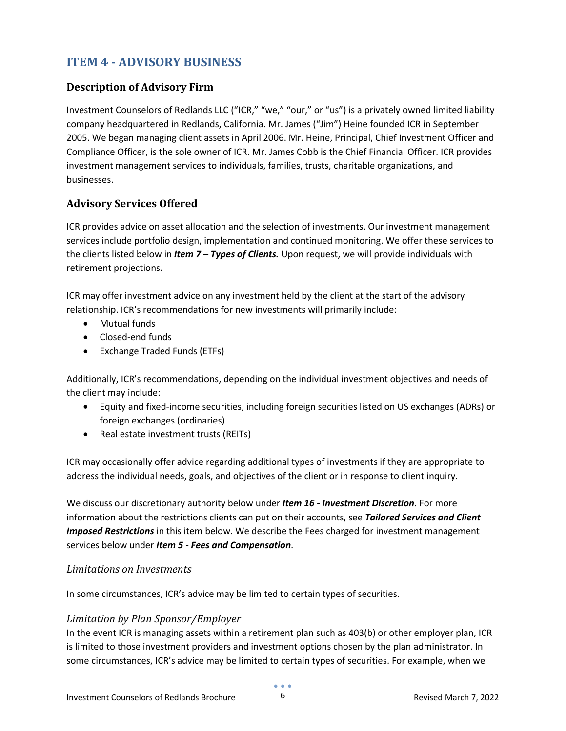## <span id="page-5-0"></span>**ITEM 4 - ADVISORY BUSINESS**

#### <span id="page-5-1"></span>**Description of Advisory Firm**

Investment Counselors of Redlands LLC ("ICR," "we," "our," or "us") is a privately owned limited liability company headquartered in Redlands, California. Mr. James ("Jim") Heine founded ICR in September 2005. We began managing client assets in April 2006. Mr. Heine, Principal, Chief Investment Officer and Compliance Officer, is the sole owner of ICR. Mr. James Cobb is the Chief Financial Officer. ICR provides investment management services to individuals, families, trusts, charitable organizations, and businesses.

#### <span id="page-5-2"></span>**Advisory Services Offered**

ICR provides advice on asset allocation and the selection of investments. Our investment management services include portfolio design, implementation and continued monitoring. We offer these services to the clients listed below in *Item 7 – Types of Clients.* Upon request, we will provide individuals with retirement projections.

ICR may offer investment advice on any investment held by the client at the start of the advisory relationship. ICR's recommendations for new investments will primarily include:

- Mutual funds
- Closed-end funds
- Exchange Traded Funds (ETFs)

Additionally, ICR's recommendations, depending on the individual investment objectives and needs of the client may include:

- Equity and fixed-income securities, including foreign securities listed on US exchanges (ADRs) or foreign exchanges (ordinaries)
- Real estate investment trusts (REITs)

ICR may occasionally offer advice regarding additional types of investments if they are appropriate to address the individual needs, goals, and objectives of the client or in response to client inquiry.

We discuss our discretionary authority below under *Item 16 - Investment Discretion*. For more information about the restrictions clients can put on their accounts, see *Tailored Services and Client Imposed Restrictions* in this item below. We describe the Fees charged for investment management services below under *Item 5 - Fees and Compensation*.

#### <span id="page-5-3"></span>*Limitations on Investments*

In some circumstances, ICR's advice may be limited to certain types of securities.

#### *Limitation by Plan Sponsor/Employer*

In the event ICR is managing assets within a retirement plan such as 403(b) or other employer plan, ICR is limited to those investment providers and investment options chosen by the plan administrator. In some circumstances, ICR's advice may be limited to certain types of securities. For example, when we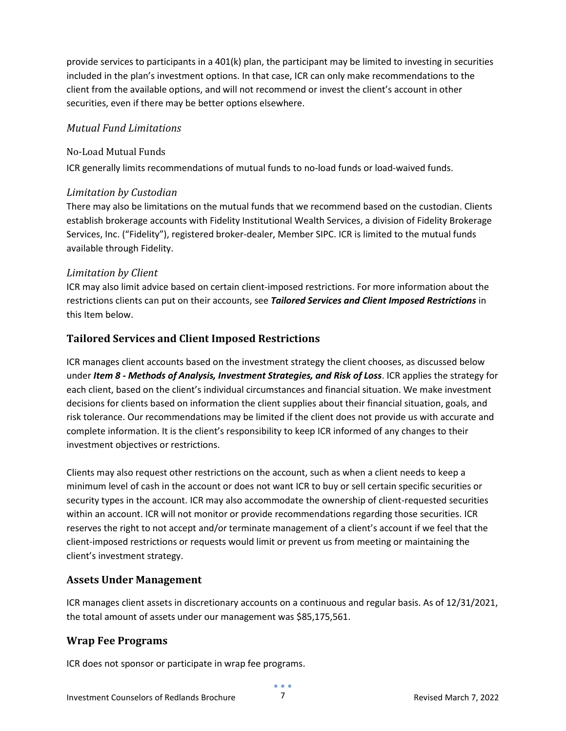provide services to participants in a 401(k) plan, the participant may be limited to investing in securities included in the plan's investment options. In that case, ICR can only make recommendations to the client from the available options, and will not recommend or invest the client's account in other securities, even if there may be better options elsewhere.

#### *Mutual Fund Limitations*

#### No-Load Mutual Funds

ICR generally limits recommendations of mutual funds to no-load funds or load-waived funds.

#### *Limitation by Custodian*

There may also be limitations on the mutual funds that we recommend based on the custodian. Clients establish brokerage accounts with Fidelity Institutional Wealth Services, a division of Fidelity Brokerage Services, Inc. ("Fidelity"), registered broker-dealer, Member SIPC. ICR is limited to the mutual funds available through Fidelity.

#### *Limitation by Client*

ICR may also limit advice based on certain client-imposed restrictions. For more information about the restrictions clients can put on their accounts, see *Tailored Services and Client Imposed Restrictions* in this Item below.

#### <span id="page-6-0"></span>**Tailored Services and Client Imposed Restrictions**

ICR manages client accounts based on the investment strategy the client chooses, as discussed below under *Item 8 - Methods of Analysis, Investment Strategies, and Risk of Loss*. ICR applies the strategy for each client, based on the client's individual circumstances and financial situation. We make investment decisions for clients based on information the client supplies about their financial situation, goals, and risk tolerance. Our recommendations may be limited if the client does not provide us with accurate and complete information. It is the client's responsibility to keep ICR informed of any changes to their investment objectives or restrictions.

Clients may also request other restrictions on the account, such as when a client needs to keep a minimum level of cash in the account or does not want ICR to buy or sell certain specific securities or security types in the account. ICR may also accommodate the ownership of client-requested securities within an account. ICR will not monitor or provide recommendations regarding those securities. ICR reserves the right to not accept and/or terminate management of a client's account if we feel that the client-imposed restrictions or requests would limit or prevent us from meeting or maintaining the client's investment strategy.

#### <span id="page-6-1"></span>**Assets Under Management**

ICR manages client assets in discretionary accounts on a continuous and regular basis. As of 12/31/2021, the total amount of assets under our management was \$85,175,561.

#### <span id="page-6-2"></span>**Wrap Fee Programs**

ICR does not sponsor or participate in wrap fee programs.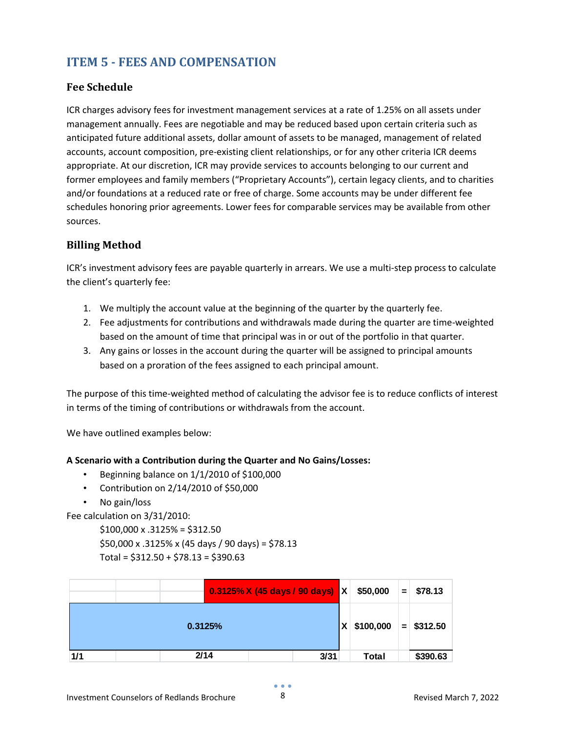## <span id="page-7-0"></span>**ITEM 5 - FEES AND COMPENSATION**

#### <span id="page-7-1"></span>**Fee Schedule**

ICR charges advisory fees for investment management services at a rate of 1.25% on all assets under management annually. Fees are negotiable and may be reduced based upon certain criteria such as anticipated future additional assets, dollar amount of assets to be managed, management of related accounts, account composition, pre-existing client relationships, or for any other criteria ICR deems appropriate. At our discretion, ICR may provide services to accounts belonging to our current and former employees and family members ("Proprietary Accounts"), certain legacy clients, and to charities and/or foundations at a reduced rate or free of charge. Some accounts may be under different fee schedules honoring prior agreements. Lower fees for comparable services may be available from other sources.

#### <span id="page-7-2"></span>**Billing Method**

ICR's investment advisory fees are payable quarterly in arrears. We use a multi-step process to calculate the client's quarterly fee:

- 1. We multiply the account value at the beginning of the quarter by the quarterly fee.
- 2. Fee adjustments for contributions and withdrawals made during the quarter are time-weighted based on the amount of time that principal was in or out of the portfolio in that quarter.
- 3. Any gains or losses in the account during the quarter will be assigned to principal amounts based on a proration of the fees assigned to each principal amount.

The purpose of this time-weighted method of calculating the advisor fee is to reduce conflicts of interest in terms of the timing of contributions or withdrawals from the account.

We have outlined examples below:

#### **A Scenario with a Contribution during the Quarter and No Gains/Losses:**

- Beginning balance on 1/1/2010 of \$100,000
- Contribution on 2/14/2010 of \$50,000
- No gain/loss

Fee calculation on 3/31/2010:

 $$100,000 \times .3125\% = $312.50$ 

\$50,000 x .3125% x (45 days / 90 days) = \$78.13

Total =  $$312.50 + $78.13 = $390.63$ 

|         |  | $0.3125\%$ X (45 days / 90 days) X |      | \$50,000       | $=$                | \$78.13  |
|---------|--|------------------------------------|------|----------------|--------------------|----------|
| 0.3125% |  |                                    |      | \$100,000<br>X | $=$ $\overline{ }$ | \$312.50 |
| 1/1     |  | 2/14                               | 3/31 | <b>Total</b>   |                    | \$390.63 |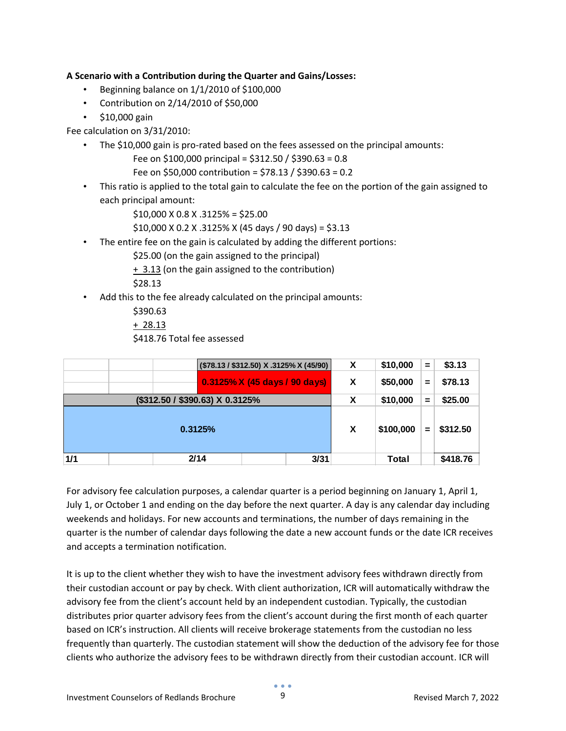#### **A Scenario with a Contribution during the Quarter and Gains/Losses:**

- Beginning balance on 1/1/2010 of \$100,000
- Contribution on 2/14/2010 of \$50,000
- \$10,000 gain

Fee calculation on 3/31/2010:

- The \$10,000 gain is pro-rated based on the fees assessed on the principal amounts:
	- Fee on \$100,000 principal = \$312.50 / \$390.63 = 0.8
	- Fee on \$50,000 contribution = \$78.13 / \$390.63 = 0.2
- This ratio is applied to the total gain to calculate the fee on the portion of the gain assigned to each principal amount:

\$10,000 X 0.8 X .3125% = \$25.00

- \$10,000 X 0.2 X .3125% X (45 days / 90 days) = \$3.13
- The entire fee on the gain is calculated by adding the different portions:

\$25.00 (on the gain assigned to the principal)

+ 3.13 (on the gain assigned to the contribution)

\$28.13

• Add this to the fee already calculated on the principal amounts:

\$390.63

 $+ 28.13$ 

\$418.76 Total fee assessed

|                                 | (\$78.13 / \$312.50) X .3125% X (45/90) |      |                               | X    | \$10,000  | =        | \$3.13   |          |
|---------------------------------|-----------------------------------------|------|-------------------------------|------|-----------|----------|----------|----------|
|                                 |                                         |      | 0.3125% X (45 days / 90 days) |      | X         | \$50,000 | =        | \$78.13  |
| (\$312.50 / \$390.63) X 0.3125% |                                         |      |                               | X    | \$10,000  | =        | \$25.00  |          |
| 0.3125%                         |                                         |      |                               | X    | \$100,000 | $=$      | \$312.50 |          |
| 1/1                             |                                         | 2/14 |                               | 3/31 |           | Total    |          | \$418.76 |

For advisory fee calculation purposes, a calendar quarter is a period beginning on January 1, April 1, July 1, or October 1 and ending on the day before the next quarter. A day is any calendar day including weekends and holidays. For new accounts and terminations, the number of days remaining in the quarter is the number of calendar days following the date a new account funds or the date ICR receives and accepts a termination notification.

It is up to the client whether they wish to have the investment advisory fees withdrawn directly from their custodian account or pay by check. With client authorization, ICR will automatically withdraw the advisory fee from the client's account held by an independent custodian. Typically, the custodian distributes prior quarter advisory fees from the client's account during the first month of each quarter based on ICR's instruction. All clients will receive brokerage statements from the custodian no less frequently than quarterly. The custodian statement will show the deduction of the advisory fee for those clients who authorize the advisory fees to be withdrawn directly from their custodian account. ICR will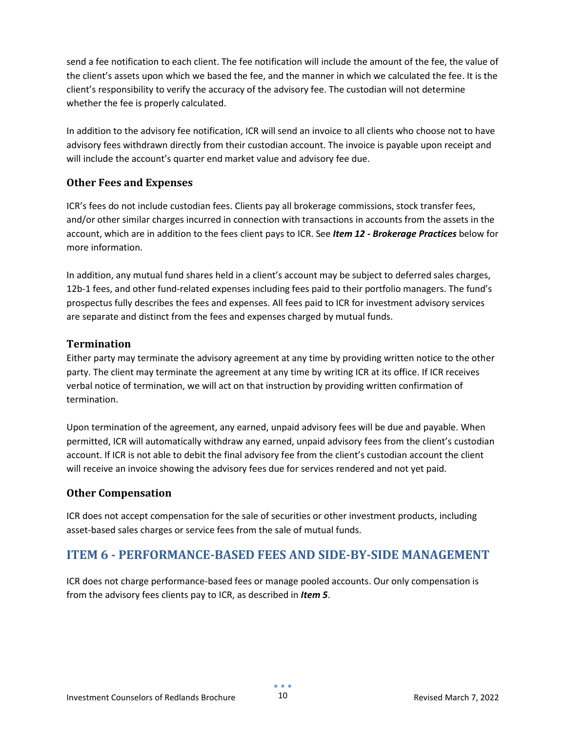send a fee notification to each client. The fee notification will include the amount of the fee, the value of the client's assets upon which we based the fee, and the manner in which we calculated the fee. It is the client's responsibility to verify the accuracy of the advisory fee. The custodian will not determine whether the fee is properly calculated.

In addition to the advisory fee notification, ICR will send an invoice to all clients who choose not to have advisory fees withdrawn directly from their custodian account. The invoice is payable upon receipt and will include the account's quarter end market value and advisory fee due.

#### <span id="page-9-0"></span>**Other Fees and Expenses**

ICR's fees do not include custodian fees. Clients pay all brokerage commissions, stock transfer fees, and/or other similar charges incurred in connection with transactions in accounts from the assets in the account, which are in addition to the fees client pays to ICR. See *Item 12 - Brokerage Practices* below for more information.

In addition, any mutual fund shares held in a client's account may be subject to deferred sales charges, 12b-1 fees, and other fund-related expenses including fees paid to their portfolio managers. The fund's prospectus fully describes the fees and expenses. All fees paid to ICR for investment advisory services are separate and distinct from the fees and expenses charged by mutual funds.

#### **Termination**

Either party may terminate the advisory agreement at any time by providing written notice to the other party. The client may terminate the agreement at any time by writing ICR at its office. If ICR receives verbal notice of termination, we will act on that instruction by providing written confirmation of termination.

Upon termination of the agreement, any earned, unpaid advisory fees will be due and payable. When permitted, ICR will automatically withdraw any earned, unpaid advisory fees from the client's custodian account. If ICR is not able to debit the final advisory fee from the client's custodian account the client will receive an invoice showing the advisory fees due for services rendered and not yet paid.

#### <span id="page-9-1"></span>**Other Compensation**

ICR does not accept compensation for the sale of securities or other investment products, including asset-based sales charges or service fees from the sale of mutual funds.

## <span id="page-9-2"></span>**ITEM 6 - PERFORMANCE-BASED FEES AND SIDE-BY-SIDE MANAGEMENT**

ICR does not charge performance-based fees or manage pooled accounts. Our only compensation is from the advisory fees clients pay to ICR, as described in *Item 5*.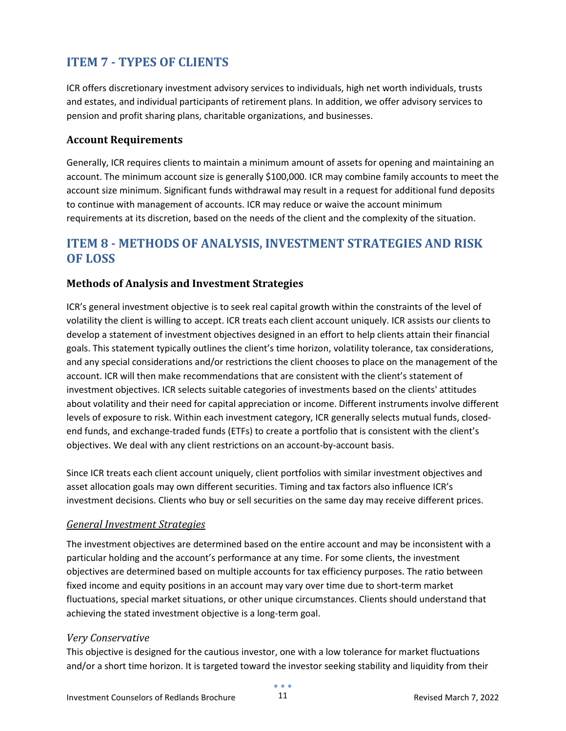## <span id="page-10-0"></span>**ITEM 7 - TYPES OF CLIENTS**

ICR offers discretionary investment advisory services to individuals, high net worth individuals, trusts and estates, and individual participants of retirement plans. In addition, we offer advisory services to pension and profit sharing plans, charitable organizations, and businesses.

#### <span id="page-10-1"></span>**Account Requirements**

Generally, ICR requires clients to maintain a minimum amount of assets for opening and maintaining an account. The minimum account size is generally \$100,000. ICR may combine family accounts to meet the account size minimum. Significant funds withdrawal may result in a request for additional fund deposits to continue with management of accounts. ICR may reduce or waive the account minimum requirements at its discretion, based on the needs of the client and the complexity of the situation.

## <span id="page-10-2"></span>**ITEM 8 - METHODS OF ANALYSIS, INVESTMENT STRATEGIES AND RISK OF LOSS**

#### <span id="page-10-3"></span>**Methods of Analysis and Investment Strategies**

ICR's general investment objective is to seek real capital growth within the constraints of the level of volatility the client is willing to accept. ICR treats each client account uniquely. ICR assists our clients to develop a statement of investment objectives designed in an effort to help clients attain their financial goals. This statement typically outlines the client's time horizon, volatility tolerance, tax considerations, and any special considerations and/or restrictions the client chooses to place on the management of the account. ICR will then make recommendations that are consistent with the client's statement of investment objectives. ICR selects suitable categories of investments based on the clients' attitudes about volatility and their need for capital appreciation or income. Different instruments involve different levels of exposure to risk. Within each investment category, ICR generally selects mutual funds, closedend funds, and exchange-traded funds (ETFs) to create a portfolio that is consistent with the client's objectives. We deal with any client restrictions on an account-by-account basis.

Since ICR treats each client account uniquely, client portfolios with similar investment objectives and asset allocation goals may own different securities. Timing and tax factors also influence ICR's investment decisions. Clients who buy or sell securities on the same day may receive different prices.

#### <span id="page-10-4"></span>*General Investment Strategies*

The investment objectives are determined based on the entire account and may be inconsistent with a particular holding and the account's performance at any time. For some clients, the investment objectives are determined based on multiple accounts for tax efficiency purposes. The ratio between fixed income and equity positions in an account may vary over time due to short-term market fluctuations, special market situations, or other unique circumstances. Clients should understand that achieving the stated investment objective is a long-term goal.

#### *Very Conservative*

This objective is designed for the cautious investor, one with a low tolerance for market fluctuations and/or a short time horizon. It is targeted toward the investor seeking stability and liquidity from their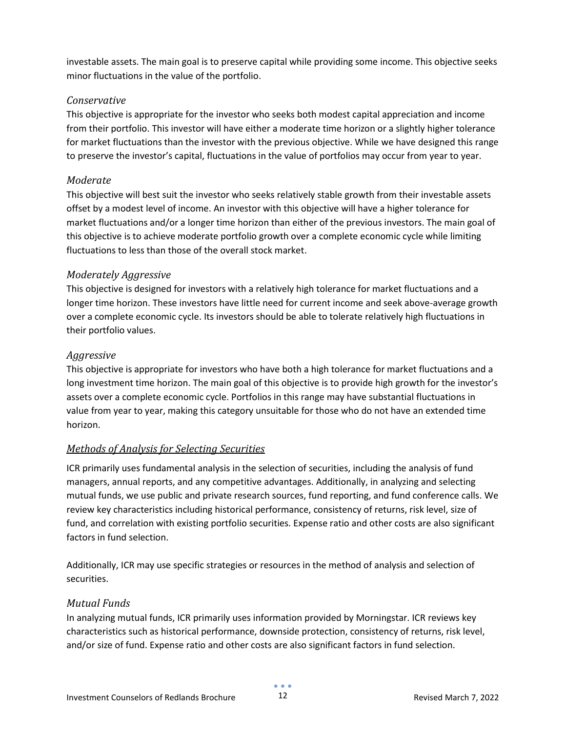investable assets. The main goal is to preserve capital while providing some income. This objective seeks minor fluctuations in the value of the portfolio.

#### *Conservative*

This objective is appropriate for the investor who seeks both modest capital appreciation and income from their portfolio. This investor will have either a moderate time horizon or a slightly higher tolerance for market fluctuations than the investor with the previous objective. While we have designed this range to preserve the investor's capital, fluctuations in the value of portfolios may occur from year to year.

#### *Moderate*

This objective will best suit the investor who seeks relatively stable growth from their investable assets offset by a modest level of income. An investor with this objective will have a higher tolerance for market fluctuations and/or a longer time horizon than either of the previous investors. The main goal of this objective is to achieve moderate portfolio growth over a complete economic cycle while limiting fluctuations to less than those of the overall stock market.

#### *Moderately Aggressive*

This objective is designed for investors with a relatively high tolerance for market fluctuations and a longer time horizon. These investors have little need for current income and seek above-average growth over a complete economic cycle. Its investors should be able to tolerate relatively high fluctuations in their portfolio values.

#### *Aggressive*

This objective is appropriate for investors who have both a high tolerance for market fluctuations and a long investment time horizon. The main goal of this objective is to provide high growth for the investor's assets over a complete economic cycle. Portfolios in this range may have substantial fluctuations in value from year to year, making this category unsuitable for those who do not have an extended time horizon.

#### <span id="page-11-0"></span>*Methods of Analysis for Selecting Securities*

ICR primarily uses fundamental analysis in the selection of securities, including the analysis of fund managers, annual reports, and any competitive advantages. Additionally, in analyzing and selecting mutual funds, we use public and private research sources, fund reporting, and fund conference calls. We review key characteristics including historical performance, consistency of returns, risk level, size of fund, and correlation with existing portfolio securities. Expense ratio and other costs are also significant factors in fund selection.

Additionally, ICR may use specific strategies or resources in the method of analysis and selection of securities.

#### *Mutual Funds*

In analyzing mutual funds, ICR primarily uses information provided by Morningstar. ICR reviews key characteristics such as historical performance, downside protection, consistency of returns, risk level, and/or size of fund. Expense ratio and other costs are also significant factors in fund selection.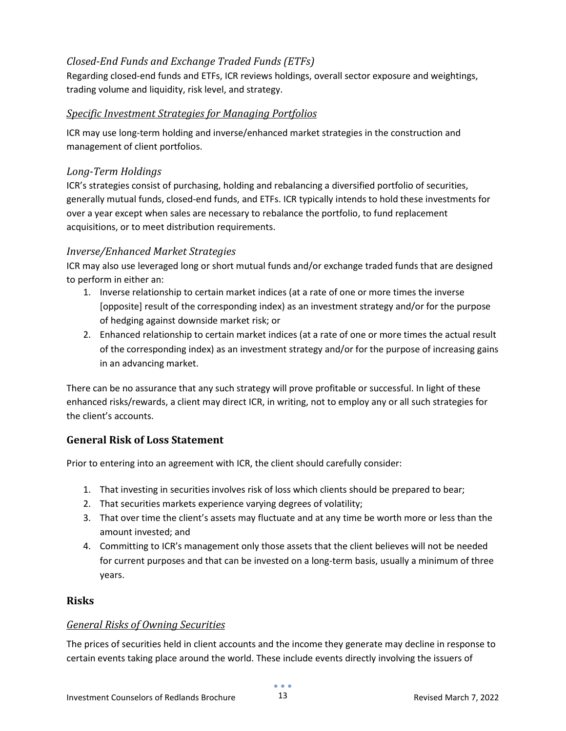#### *Closed-End Funds and Exchange Traded Funds (ETFs)*

Regarding closed-end funds and ETFs, ICR reviews holdings, overall sector exposure and weightings, trading volume and liquidity, risk level, and strategy.

#### <span id="page-12-0"></span>*Specific Investment Strategies for Managing Portfolios*

ICR may use long-term holding and inverse/enhanced market strategies in the construction and management of client portfolios.

#### *Long-Term Holdings*

ICR's strategies consist of purchasing, holding and rebalancing a diversified portfolio of securities, generally mutual funds, closed-end funds, and ETFs. ICR typically intends to hold these investments for over a year except when sales are necessary to rebalance the portfolio, to fund replacement acquisitions, or to meet distribution requirements.

#### *Inverse/Enhanced Market Strategies*

ICR may also use leveraged long or short mutual funds and/or exchange traded funds that are designed to perform in either an:

- 1. Inverse relationship to certain market indices (at a rate of one or more times the inverse [opposite] result of the corresponding index) as an investment strategy and/or for the purpose of hedging against downside market risk; or
- 2. Enhanced relationship to certain market indices (at a rate of one or more times the actual result of the corresponding index) as an investment strategy and/or for the purpose of increasing gains in an advancing market.

There can be no assurance that any such strategy will prove profitable or successful. In light of these enhanced risks/rewards, a client may direct ICR, in writing, not to employ any or all such strategies for the client's accounts.

#### <span id="page-12-1"></span>**General Risk of Loss Statement**

Prior to entering into an agreement with ICR, the client should carefully consider:

- 1. That investing in securities involves risk of loss which clients should be prepared to bear;
- 2. That securities markets experience varying degrees of volatility;
- 3. That over time the client's assets may fluctuate and at any time be worth more or less than the amount invested; and
- 4. Committing to ICR's management only those assets that the client believes will not be needed for current purposes and that can be invested on a long-term basis, usually a minimum of three years.

#### <span id="page-12-2"></span>**Risks**

#### <span id="page-12-3"></span>*General Risks of Owning Securities*

The prices of securities held in client accounts and the income they generate may decline in response to certain events taking place around the world. These include events directly involving the issuers of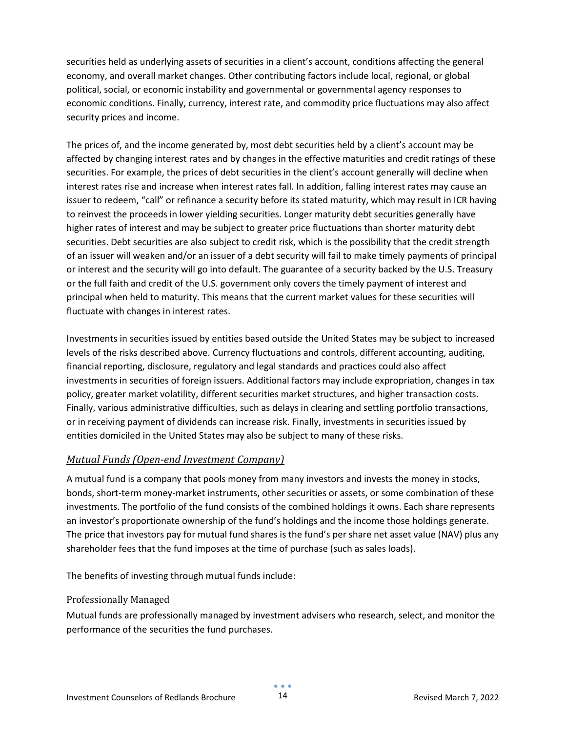securities held as underlying assets of securities in a client's account, conditions affecting the general economy, and overall market changes. Other contributing factors include local, regional, or global political, social, or economic instability and governmental or governmental agency responses to economic conditions. Finally, currency, interest rate, and commodity price fluctuations may also affect security prices and income.

The prices of, and the income generated by, most debt securities held by a client's account may be affected by changing interest rates and by changes in the effective maturities and credit ratings of these securities. For example, the prices of debt securities in the client's account generally will decline when interest rates rise and increase when interest rates fall. In addition, falling interest rates may cause an issuer to redeem, "call" or refinance a security before its stated maturity, which may result in ICR having to reinvest the proceeds in lower yielding securities. Longer maturity debt securities generally have higher rates of interest and may be subject to greater price fluctuations than shorter maturity debt securities. Debt securities are also subject to credit risk, which is the possibility that the credit strength of an issuer will weaken and/or an issuer of a debt security will fail to make timely payments of principal or interest and the security will go into default. The guarantee of a security backed by the U.S. Treasury or the full faith and credit of the U.S. government only covers the timely payment of interest and principal when held to maturity. This means that the current market values for these securities will fluctuate with changes in interest rates.

Investments in securities issued by entities based outside the United States may be subject to increased levels of the risks described above. Currency fluctuations and controls, different accounting, auditing, financial reporting, disclosure, regulatory and legal standards and practices could also affect investments in securities of foreign issuers. Additional factors may include expropriation, changes in tax policy, greater market volatility, different securities market structures, and higher transaction costs. Finally, various administrative difficulties, such as delays in clearing and settling portfolio transactions, or in receiving payment of dividends can increase risk. Finally, investments in securities issued by entities domiciled in the United States may also be subject to many of these risks.

#### <span id="page-13-0"></span>*Mutual Funds (Open-end Investment Company)*

A mutual fund is a company that pools money from many investors and invests the money in stocks, bonds, short-term money-market instruments, other securities or assets, or some combination of these investments. The portfolio of the fund consists of the combined holdings it owns. Each share represents an investor's proportionate ownership of the fund's holdings and the income those holdings generate. The price that investors pay for mutual fund shares is the fund's per share net asset value (NAV) plus any shareholder fees that the fund imposes at the time of purchase (such as sales loads).

The benefits of investing through mutual funds include:

#### Professionally Managed

Mutual funds are professionally managed by investment advisers who research, select, and monitor the performance of the securities the fund purchases.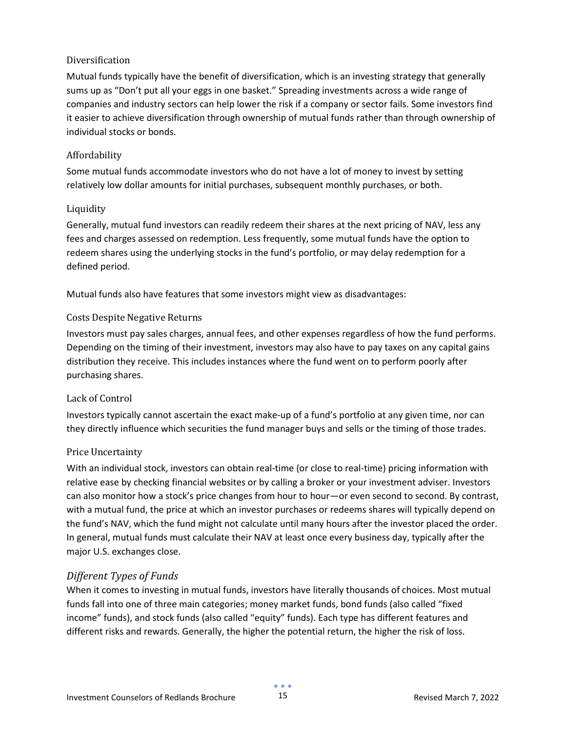#### Diversification

Mutual funds typically have the benefit of diversification, which is an investing strategy that generally sums up as "Don't put all your eggs in one basket." Spreading investments across a wide range of companies and industry sectors can help lower the risk if a company or sector fails. Some investors find it easier to achieve diversification through ownership of mutual funds rather than through ownership of individual stocks or bonds.

#### Affordability

Some mutual funds accommodate investors who do not have a lot of money to invest by setting relatively low dollar amounts for initial purchases, subsequent monthly purchases, or both.

#### Liquidity

Generally, mutual fund investors can readily redeem their shares at the next pricing of NAV, less any fees and charges assessed on redemption. Less frequently, some mutual funds have the option to redeem shares using the underlying stocks in the fund's portfolio, or may delay redemption for a defined period.

Mutual funds also have features that some investors might view as disadvantages:

#### Costs Despite Negative Returns

Investors must pay sales charges, annual fees, and other expenses regardless of how the fund performs. Depending on the timing of their investment, investors may also have to pay taxes on any capital gains distribution they receive. This includes instances where the fund went on to perform poorly after purchasing shares.

#### Lack of Control

Investors typically cannot ascertain the exact make-up of a fund's portfolio at any given time, nor can they directly influence which securities the fund manager buys and sells or the timing of those trades.

#### Price Uncertainty

With an individual stock, investors can obtain real-time (or close to real-time) pricing information with relative ease by checking financial websites or by calling a broker or your investment adviser. Investors can also monitor how a stock's price changes from hour to hour—or even second to second. By contrast, with a mutual fund, the price at which an investor purchases or redeems shares will typically depend on the fund's NAV, which the fund might not calculate until many hours after the investor placed the order. In general, mutual funds must calculate their NAV at least once every business day, typically after the major U.S. exchanges close.

#### *Different Types of Funds*

When it comes to investing in mutual funds, investors have literally thousands of choices. Most mutual funds fall into one of three main categories; money market funds, bond funds (also called "fixed income" funds), and stock funds (also called "equity" funds). Each type has different features and different risks and rewards. Generally, the higher the potential return, the higher the risk of loss.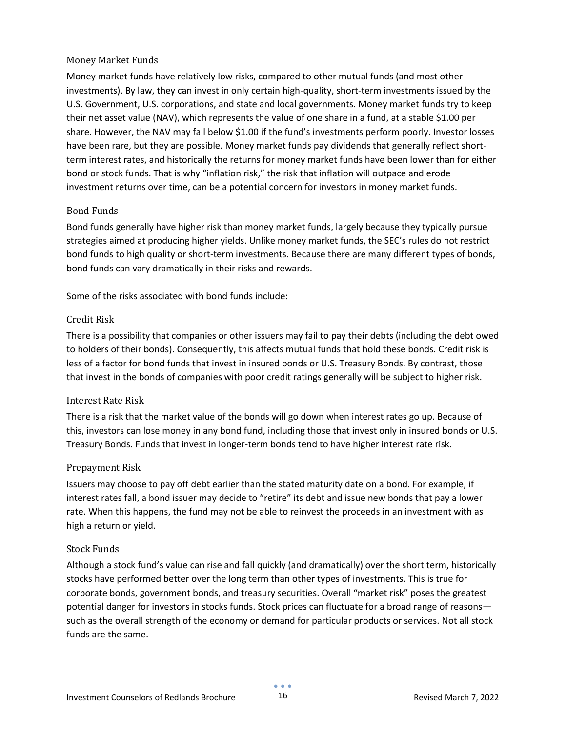#### Money Market Funds

Money market funds have relatively low risks, compared to other mutual funds (and most other investments). By law, they can invest in only certain high-quality, short-term investments issued by the U.S. Government, U.S. corporations, and state and local governments. Money market funds try to keep their net asset value (NAV), which represents the value of one share in a fund, at a stable \$1.00 per share. However, the NAV may fall below \$1.00 if the fund's investments perform poorly. Investor losses have been rare, but they are possible. Money market funds pay dividends that generally reflect shortterm interest rates, and historically the returns for money market funds have been lower than for either bond or stock funds. That is why "inflation risk," the risk that inflation will outpace and erode investment returns over time, can be a potential concern for investors in money market funds.

#### Bond Funds

Bond funds generally have higher risk than money market funds, largely because they typically pursue strategies aimed at producing higher yields. Unlike money market funds, the SEC's rules do not restrict bond funds to high quality or short-term investments. Because there are many different types of bonds, bond funds can vary dramatically in their risks and rewards.

Some of the risks associated with bond funds include:

#### Credit Risk

There is a possibility that companies or other issuers may fail to pay their debts (including the debt owed to holders of their bonds). Consequently, this affects mutual funds that hold these bonds. Credit risk is less of a factor for bond funds that invest in insured bonds or U.S. Treasury Bonds. By contrast, those that invest in the bonds of companies with poor credit ratings generally will be subject to higher risk.

#### Interest Rate Risk

There is a risk that the market value of the bonds will go down when interest rates go up. Because of this, investors can lose money in any bond fund, including those that invest only in insured bonds or U.S. Treasury Bonds. Funds that invest in longer-term bonds tend to have higher interest rate risk.

#### Prepayment Risk

Issuers may choose to pay off debt earlier than the stated maturity date on a bond. For example, if interest rates fall, a bond issuer may decide to "retire" its debt and issue new bonds that pay a lower rate. When this happens, the fund may not be able to reinvest the proceeds in an investment with as high a return or yield.

#### Stock Funds

Although a stock fund's value can rise and fall quickly (and dramatically) over the short term, historically stocks have performed better over the long term than other types of investments. This is true for corporate bonds, government bonds, and treasury securities. Overall "market risk" poses the greatest potential danger for investors in stocks funds. Stock prices can fluctuate for a broad range of reasons such as the overall strength of the economy or demand for particular products or services. Not all stock funds are the same.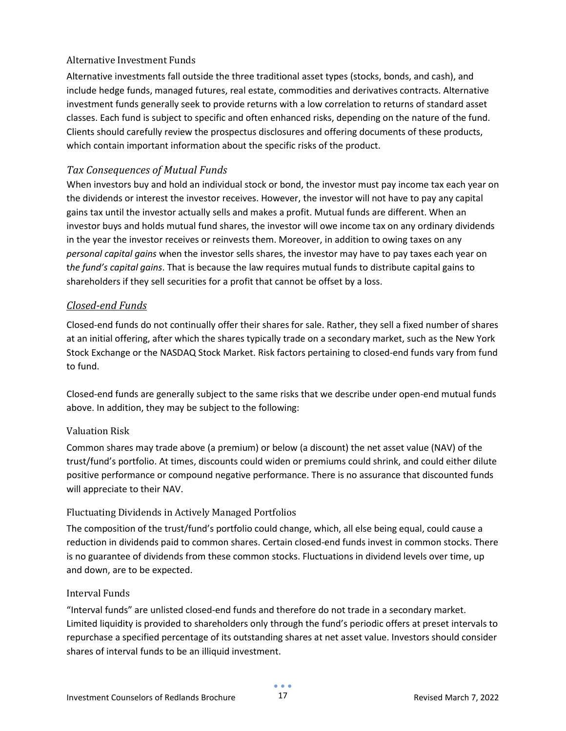#### Alternative Investment Funds

Alternative investments fall outside the three traditional asset types (stocks, bonds, and cash), and include hedge funds, managed futures, real estate, commodities and derivatives contracts. Alternative investment funds generally seek to provide returns with a low correlation to returns of standard asset classes. Each fund is subject to specific and often enhanced risks, depending on the nature of the fund. Clients should carefully review the prospectus disclosures and offering documents of these products, which contain important information about the specific risks of the product.

#### *Tax Consequences of Mutual Funds*

When investors buy and hold an individual stock or bond, the investor must pay income tax each year on the dividends or interest the investor receives. However, the investor will not have to pay any capital gains tax until the investor actually sells and makes a profit. Mutual funds are different. When an investor buys and holds mutual fund shares, the investor will owe income tax on any ordinary dividends in the year the investor receives or reinvests them. Moreover, in addition to owing taxes on any *personal capital gains* when the investor sells shares, the investor may have to pay taxes each year on t*he fund's capital gains*. That is because the law requires mutual funds to distribute capital gains to shareholders if they sell securities for a profit that cannot be offset by a loss.

#### <span id="page-16-0"></span>*Closed-end Funds*

Closed-end funds do not continually offer their shares for sale. Rather, they sell a fixed number of shares at an initial offering, after which the shares typically trade on a secondary market, such as the New York Stock Exchange or the NASDAQ Stock Market. Risk factors pertaining to closed-end funds vary from fund to fund.

Closed-end funds are generally subject to the same risks that we describe under open-end mutual funds above. In addition, they may be subject to the following:

#### Valuation Risk

Common shares may trade above (a premium) or below (a discount) the net asset value (NAV) of the trust/fund's portfolio. At times, discounts could widen or premiums could shrink, and could either dilute positive performance or compound negative performance. There is no assurance that discounted funds will appreciate to their NAV.

#### Fluctuating Dividends in Actively Managed Portfolios

The composition of the trust/fund's portfolio could change, which, all else being equal, could cause a reduction in dividends paid to common shares. Certain closed-end funds invest in common stocks. There is no guarantee of dividends from these common stocks. Fluctuations in dividend levels over time, up and down, are to be expected.

#### Interval Funds

"Interval funds" are unlisted closed-end funds and therefore do not trade in a secondary market. Limited liquidity is provided to shareholders only through the fund's periodic offers at preset intervals to repurchase a specified percentage of its outstanding shares at net asset value. Investors should consider shares of interval funds to be an illiquid investment.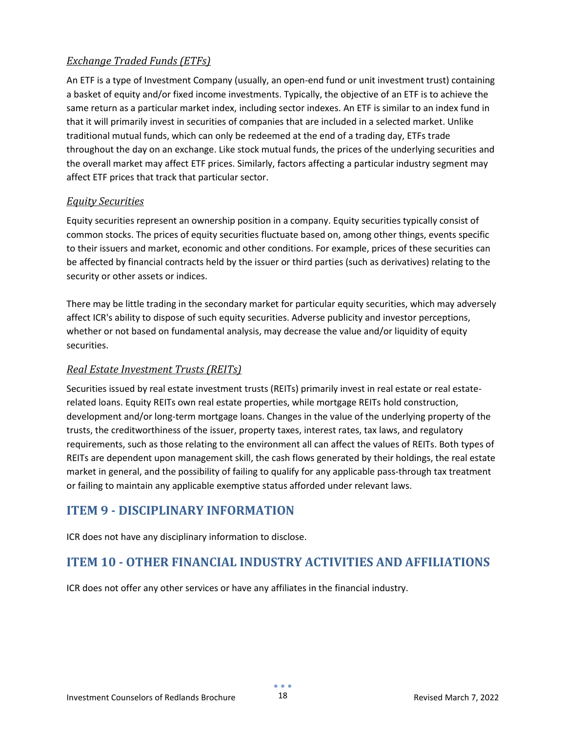#### <span id="page-17-0"></span>*Exchange Traded Funds (ETFs)*

An ETF is a type of Investment Company (usually, an open-end fund or unit investment trust) containing a basket of equity and/or fixed income investments. Typically, the objective of an ETF is to achieve the same return as a particular market index, including sector indexes. An ETF is similar to an index fund in that it will primarily invest in securities of companies that are included in a selected market. Unlike traditional mutual funds, which can only be redeemed at the end of a trading day, ETFs trade throughout the day on an exchange. Like stock mutual funds, the prices of the underlying securities and the overall market may affect ETF prices. Similarly, factors affecting a particular industry segment may affect ETF prices that track that particular sector.

#### <span id="page-17-1"></span>*Equity Securities*

Equity securities represent an ownership position in a company. Equity securities typically consist of common stocks. The prices of equity securities fluctuate based on, among other things, events specific to their issuers and market, economic and other conditions. For example, prices of these securities can be affected by financial contracts held by the issuer or third parties (such as derivatives) relating to the security or other assets or indices.

There may be little trading in the secondary market for particular equity securities, which may adversely affect ICR's ability to dispose of such equity securities. Adverse publicity and investor perceptions, whether or not based on fundamental analysis, may decrease the value and/or liquidity of equity securities.

#### <span id="page-17-2"></span>*Real Estate Investment Trusts (REITs)*

Securities issued by real estate investment trusts (REITs) primarily invest in real estate or real estaterelated loans. Equity REITs own real estate properties, while mortgage REITs hold construction, development and/or long-term mortgage loans. Changes in the value of the underlying property of the trusts, the creditworthiness of the issuer, property taxes, interest rates, tax laws, and regulatory requirements, such as those relating to the environment all can affect the values of REITs. Both types of REITs are dependent upon management skill, the cash flows generated by their holdings, the real estate market in general, and the possibility of failing to qualify for any applicable pass-through tax treatment or failing to maintain any applicable exemptive status afforded under relevant laws.

## <span id="page-17-3"></span>**ITEM 9 - DISCIPLINARY INFORMATION**

ICR does not have any disciplinary information to disclose.

## <span id="page-17-4"></span>**ITEM 10 - OTHER FINANCIAL INDUSTRY ACTIVITIES AND AFFILIATIONS**

ICR does not offer any other services or have any affiliates in the financial industry.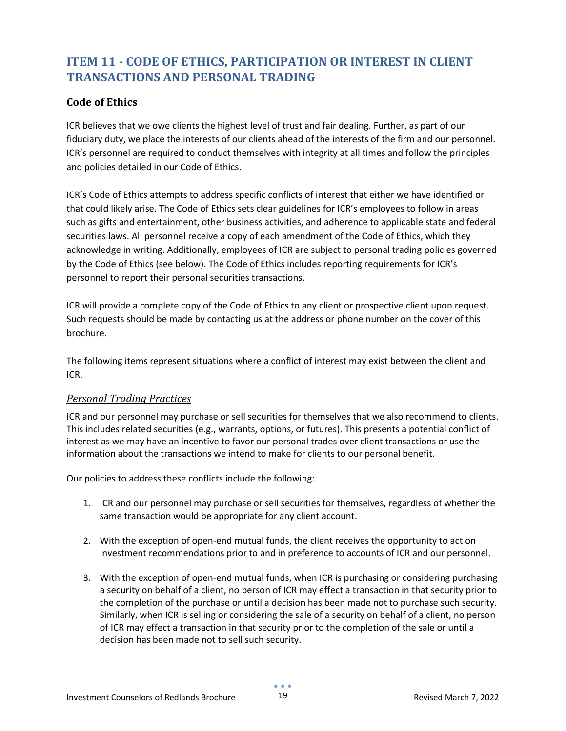## <span id="page-18-0"></span>**ITEM 11 - CODE OF ETHICS, PARTICIPATION OR INTEREST IN CLIENT TRANSACTIONS AND PERSONAL TRADING**

#### <span id="page-18-1"></span>**Code of Ethics**

ICR believes that we owe clients the highest level of trust and fair dealing. Further, as part of our fiduciary duty, we place the interests of our clients ahead of the interests of the firm and our personnel. ICR's personnel are required to conduct themselves with integrity at all times and follow the principles and policies detailed in our Code of Ethics.

ICR's Code of Ethics attempts to address specific conflicts of interest that either we have identified or that could likely arise. The Code of Ethics sets clear guidelines for ICR's employees to follow in areas such as gifts and entertainment, other business activities, and adherence to applicable state and federal securities laws. All personnel receive a copy of each amendment of the Code of Ethics, which they acknowledge in writing. Additionally, employees of ICR are subject to personal trading policies governed by the Code of Ethics (see below). The Code of Ethics includes reporting requirements for ICR's personnel to report their personal securities transactions.

ICR will provide a complete copy of the Code of Ethics to any client or prospective client upon request. Such requests should be made by contacting us at the address or phone number on the cover of this brochure.

The following items represent situations where a conflict of interest may exist between the client and ICR.

#### <span id="page-18-2"></span>*Personal Trading Practices*

ICR and our personnel may purchase or sell securities for themselves that we also recommend to clients. This includes related securities (e.g., warrants, options, or futures). This presents a potential conflict of interest as we may have an incentive to favor our personal trades over client transactions or use the information about the transactions we intend to make for clients to our personal benefit.

Our policies to address these conflicts include the following:

- 1. ICR and our personnel may purchase or sell securities for themselves, regardless of whether the same transaction would be appropriate for any client account.
- 2. With the exception of open-end mutual funds, the client receives the opportunity to act on investment recommendations prior to and in preference to accounts of ICR and our personnel.
- 3. With the exception of open-end mutual funds, when ICR is purchasing or considering purchasing a security on behalf of a client, no person of ICR may effect a transaction in that security prior to the completion of the purchase or until a decision has been made not to purchase such security. Similarly, when ICR is selling or considering the sale of a security on behalf of a client, no person of ICR may effect a transaction in that security prior to the completion of the sale or until a decision has been made not to sell such security.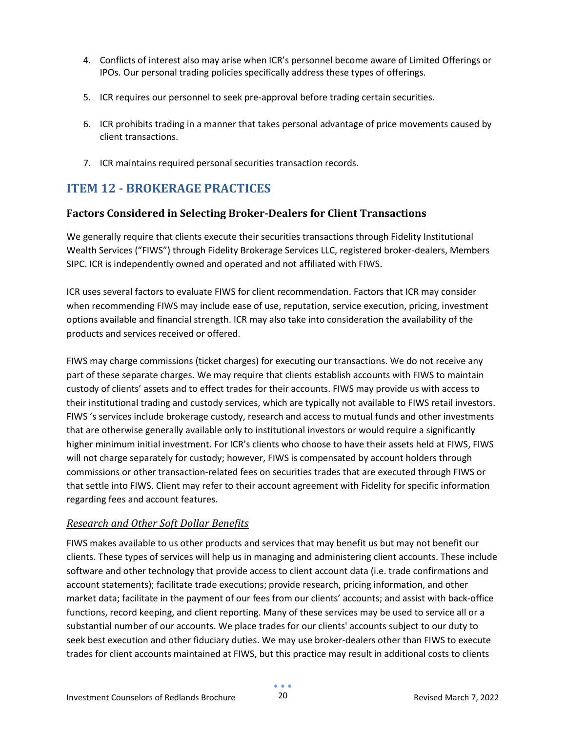- 4. Conflicts of interest also may arise when ICR's personnel become aware of Limited Offerings or IPOs. Our personal trading policies specifically address these types of offerings.
- 5. ICR requires our personnel to seek pre-approval before trading certain securities.
- 6. ICR prohibits trading in a manner that takes personal advantage of price movements caused by client transactions.
- 7. ICR maintains required personal securities transaction records.

## <span id="page-19-0"></span>**ITEM 12 - BROKERAGE PRACTICES**

#### <span id="page-19-1"></span>**Factors Considered in Selecting Broker-Dealers for Client Transactions**

We generally require that clients execute their securities transactions through Fidelity Institutional Wealth Services ("FIWS") through Fidelity Brokerage Services LLC, registered broker-dealers, Members SIPC. ICR is independently owned and operated and not affiliated with FIWS.

ICR uses several factors to evaluate FIWS for client recommendation. Factors that ICR may consider when recommending FIWS may include ease of use, reputation, service execution, pricing, investment options available and financial strength. ICR may also take into consideration the availability of the products and services received or offered.

FIWS may charge commissions (ticket charges) for executing our transactions. We do not receive any part of these separate charges. We may require that clients establish accounts with FIWS to maintain custody of clients' assets and to effect trades for their accounts. FIWS may provide us with access to their institutional trading and custody services, which are typically not available to FIWS retail investors. FIWS 's services include brokerage custody, research and access to mutual funds and other investments that are otherwise generally available only to institutional investors or would require a significantly higher minimum initial investment. For ICR's clients who choose to have their assets held at FIWS, FIWS will not charge separately for custody; however, FIWS is compensated by account holders through commissions or other transaction-related fees on securities trades that are executed through FIWS or that settle into FIWS. Client may refer to their account agreement with Fidelity for specific information regarding fees and account features.

#### <span id="page-19-2"></span>*Research and Other Soft Dollar Benefits*

FIWS makes available to us other products and services that may benefit us but may not benefit our clients. These types of services will help us in managing and administering client accounts. These include software and other technology that provide access to client account data (i.e. trade confirmations and account statements); facilitate trade executions; provide research, pricing information, and other market data; facilitate in the payment of our fees from our clients' accounts; and assist with back-office functions, record keeping, and client reporting. Many of these services may be used to service all or a substantial number of our accounts. We place trades for our clients' accounts subject to our duty to seek best execution and other fiduciary duties. We may use broker-dealers other than FIWS to execute trades for client accounts maintained at FIWS, but this practice may result in additional costs to clients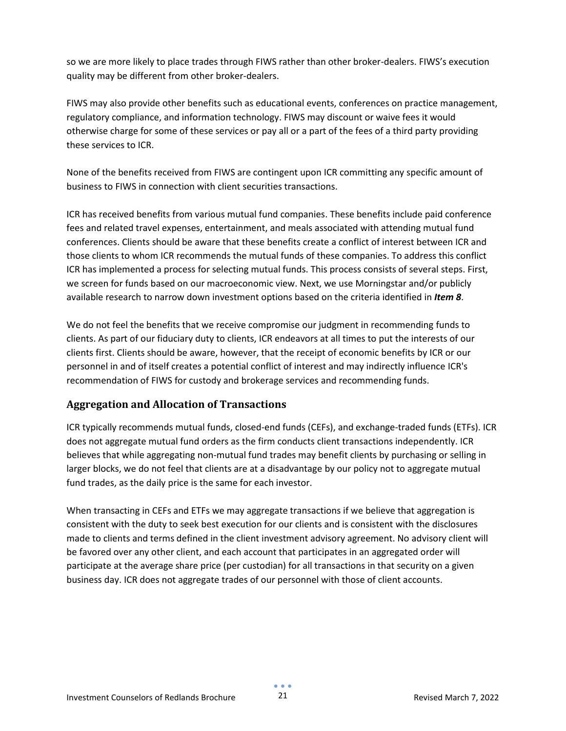so we are more likely to place trades through FIWS rather than other broker-dealers. FIWS's execution quality may be different from other broker-dealers.

FIWS may also provide other benefits such as educational events, conferences on practice management, regulatory compliance, and information technology. FIWS may discount or waive fees it would otherwise charge for some of these services or pay all or a part of the fees of a third party providing these services to ICR.

None of the benefits received from FIWS are contingent upon ICR committing any specific amount of business to FIWS in connection with client securities transactions.

ICR has received benefits from various mutual fund companies. These benefits include paid conference fees and related travel expenses, entertainment, and meals associated with attending mutual fund conferences. Clients should be aware that these benefits create a conflict of interest between ICR and those clients to whom ICR recommends the mutual funds of these companies. To address this conflict ICR has implemented a process for selecting mutual funds. This process consists of several steps. First, we screen for funds based on our macroeconomic view. Next, we use Morningstar and/or publicly available research to narrow down investment options based on the criteria identified in *Item 8*.

We do not feel the benefits that we receive compromise our judgment in recommending funds to clients. As part of our fiduciary duty to clients, ICR endeavors at all times to put the interests of our clients first. Clients should be aware, however, that the receipt of economic benefits by ICR or our personnel in and of itself creates a potential conflict of interest and may indirectly influence ICR's recommendation of FIWS for custody and brokerage services and recommending funds.

#### <span id="page-20-0"></span>**Aggregation and Allocation of Transactions**

ICR typically recommends mutual funds, closed-end funds (CEFs), and exchange-traded funds (ETFs). ICR does not aggregate mutual fund orders as the firm conducts client transactions independently. ICR believes that while aggregating non-mutual fund trades may benefit clients by purchasing or selling in larger blocks, we do not feel that clients are at a disadvantage by our policy not to aggregate mutual fund trades, as the daily price is the same for each investor.

When transacting in CEFs and ETFs we may aggregate transactions if we believe that aggregation is consistent with the duty to seek best execution for our clients and is consistent with the disclosures made to clients and terms defined in the client investment advisory agreement. No advisory client will be favored over any other client, and each account that participates in an aggregated order will participate at the average share price (per custodian) for all transactions in that security on a given business day. ICR does not aggregate trades of our personnel with those of client accounts.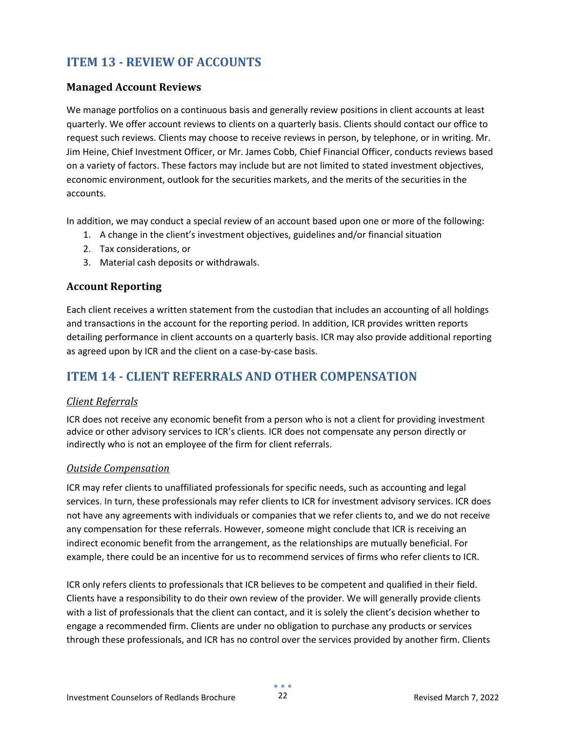## <span id="page-21-0"></span>**ITEM 13 - REVIEW OF ACCOUNTS**

#### <span id="page-21-1"></span>**Managed Account Reviews**

We manage portfolios on a continuous basis and generally review positions in client accounts at least quarterly. We offer account reviews to clients on a quarterly basis. Clients should contact our office to request such reviews. Clients may choose to receive reviews in person, by telephone, or in writing. Mr. Jim Heine, Chief Investment Officer, or Mr. James Cobb, Chief Financial Officer, conducts reviews based on a variety of factors. These factors may include but are not limited to stated investment objectives, economic environment, outlook for the securities markets, and the merits of the securities in the accounts.

In addition, we may conduct a special review of an account based upon one or more of the following:

- 1. A change in the client's investment objectives, guidelines and/or financial situation
- 2. Tax considerations, or
- 3. Material cash deposits or withdrawals.

#### <span id="page-21-2"></span>**Account Reporting**

Each client receives a written statement from the custodian that includes an accounting of all holdings and transactions in the account for the reporting period. In addition, ICR provides written reports detailing performance in client accounts on a quarterly basis. ICR may also provide additional reporting as agreed upon by ICR and the client on a case-by-case basis.

## <span id="page-21-3"></span>**ITEM 14 - CLIENT REFERRALS AND OTHER COMPENSATION**

#### <span id="page-21-4"></span>*Client Referrals*

ICR does not receive any economic benefit from a person who is not a client for providing investment advice or other advisory services to ICR's clients. ICR does not compensate any person directly or indirectly who is not an employee of the firm for client referrals.

#### <span id="page-21-5"></span>*Outside Compensation*

ICR may refer clients to unaffiliated professionals for specific needs, such as accounting and legal services. In turn, these professionals may refer clients to ICR for investment advisory services. ICR does not have any agreements with individuals or companies that we refer clients to, and we do not receive any compensation for these referrals. However, someone might conclude that ICR is receiving an indirect economic benefit from the arrangement, as the relationships are mutually beneficial. For example, there could be an incentive for us to recommend services of firms who refer clients to ICR.

ICR only refers clients to professionals that ICR believes to be competent and qualified in their field. Clients have a responsibility to do their own review of the provider. We will generally provide clients with a list of professionals that the client can contact, and it is solely the client's decision whether to engage a recommended firm. Clients are under no obligation to purchase any products or services through these professionals, and ICR has no control over the services provided by another firm. Clients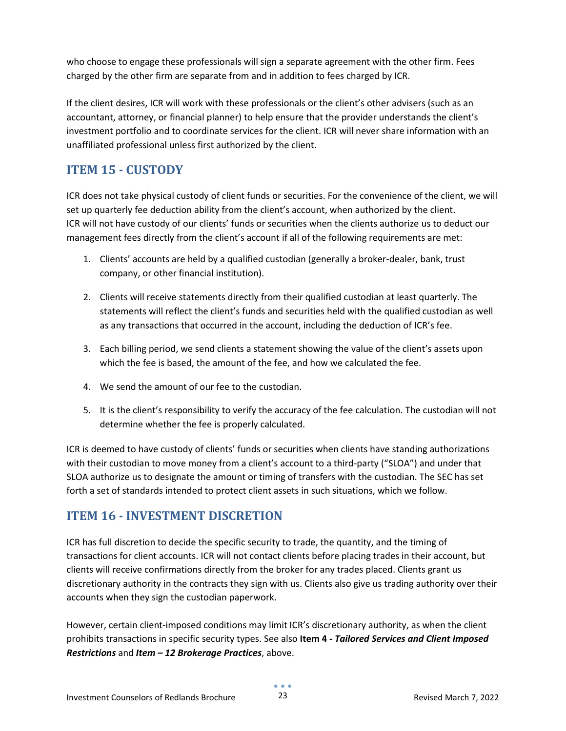who choose to engage these professionals will sign a separate agreement with the other firm. Fees charged by the other firm are separate from and in addition to fees charged by ICR.

If the client desires, ICR will work with these professionals or the client's other advisers (such as an accountant, attorney, or financial planner) to help ensure that the provider understands the client's investment portfolio and to coordinate services for the client. ICR will never share information with an unaffiliated professional unless first authorized by the client.

### <span id="page-22-0"></span>**ITEM 15 - CUSTODY**

ICR does not take physical custody of client funds or securities. For the convenience of the client, we will set up quarterly fee deduction ability from the client's account, when authorized by the client. ICR will not have custody of our clients' funds or securities when the clients authorize us to deduct our management fees directly from the client's account if all of the following requirements are met:

- 1. Clients' accounts are held by a qualified custodian (generally a broker-dealer, bank, trust company, or other financial institution).
- 2. Clients will receive statements directly from their qualified custodian at least quarterly. The statements will reflect the client's funds and securities held with the qualified custodian as well as any transactions that occurred in the account, including the deduction of ICR's fee.
- 3. Each billing period, we send clients a statement showing the value of the client's assets upon which the fee is based, the amount of the fee, and how we calculated the fee.
- 4. We send the amount of our fee to the custodian.
- 5. It is the client's responsibility to verify the accuracy of the fee calculation. The custodian will not determine whether the fee is properly calculated.

ICR is deemed to have custody of clients' funds or securities when clients have standing authorizations with their custodian to move money from a client's account to a third-party ("SLOA") and under that SLOA authorize us to designate the amount or timing of transfers with the custodian. The SEC has set forth a set of standards intended to protect client assets in such situations, which we follow.

### <span id="page-22-1"></span>**ITEM 16 - INVESTMENT DISCRETION**

ICR has full discretion to decide the specific security to trade, the quantity, and the timing of transactions for client accounts. ICR will not contact clients before placing trades in their account, but clients will receive confirmations directly from the broker for any trades placed. Clients grant us discretionary authority in the contracts they sign with us. Clients also give us trading authority over their accounts when they sign the custodian paperwork.

However, certain client-imposed conditions may limit ICR's discretionary authority, as when the client prohibits transactions in specific security types. See also **Item 4 -** *Tailored Services and Client Imposed Restrictions* and *Item – 12 Brokerage Practices*, above.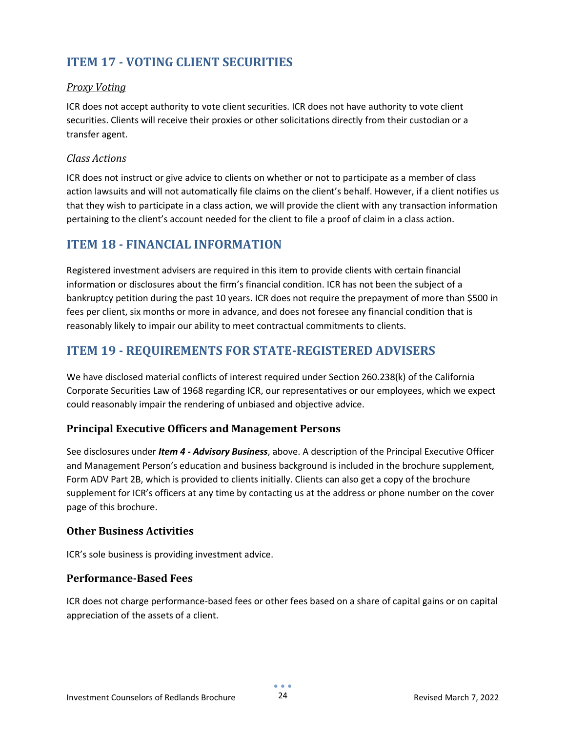## <span id="page-23-0"></span>**ITEM 17 - VOTING CLIENT SECURITIES**

#### <span id="page-23-1"></span>*Proxy Voting*

ICR does not accept authority to vote client securities. ICR does not have authority to vote client securities. Clients will receive their proxies or other solicitations directly from their custodian or a transfer agent.

#### <span id="page-23-2"></span>*Class Actions*

ICR does not instruct or give advice to clients on whether or not to participate as a member of class action lawsuits and will not automatically file claims on the client's behalf. However, if a client notifies us that they wish to participate in a class action, we will provide the client with any transaction information pertaining to the client's account needed for the client to file a proof of claim in a class action.

### <span id="page-23-3"></span>**ITEM 18 - FINANCIAL INFORMATION**

Registered investment advisers are required in this item to provide clients with certain financial information or disclosures about the firm's financial condition. ICR has not been the subject of a bankruptcy petition during the past 10 years. ICR does not require the prepayment of more than \$500 in fees per client, six months or more in advance, and does not foresee any financial condition that is reasonably likely to impair our ability to meet contractual commitments to clients.

## <span id="page-23-4"></span>**ITEM 19 - REQUIREMENTS FOR STATE-REGISTERED ADVISERS**

We have disclosed material conflicts of interest required under Section 260.238(k) of the California Corporate Securities Law of 1968 regarding ICR, our representatives or our employees, which we expect could reasonably impair the rendering of unbiased and objective advice.

#### <span id="page-23-5"></span>**Principal Executive Officers and Management Persons**

See disclosures under *Item 4 - Advisory Business*, above. A description of the Principal Executive Officer and Management Person's education and business background is included in the brochure supplement, Form ADV Part 2B, which is provided to clients initially. Clients can also get a copy of the brochure supplement for ICR's officers at any time by contacting us at the address or phone number on the cover page of this brochure.

#### <span id="page-23-6"></span>**Other Business Activities**

ICR's sole business is providing investment advice.

#### <span id="page-23-7"></span>**Performance-Based Fees**

ICR does not charge performance-based fees or other fees based on a share of capital gains or on capital appreciation of the assets of a client.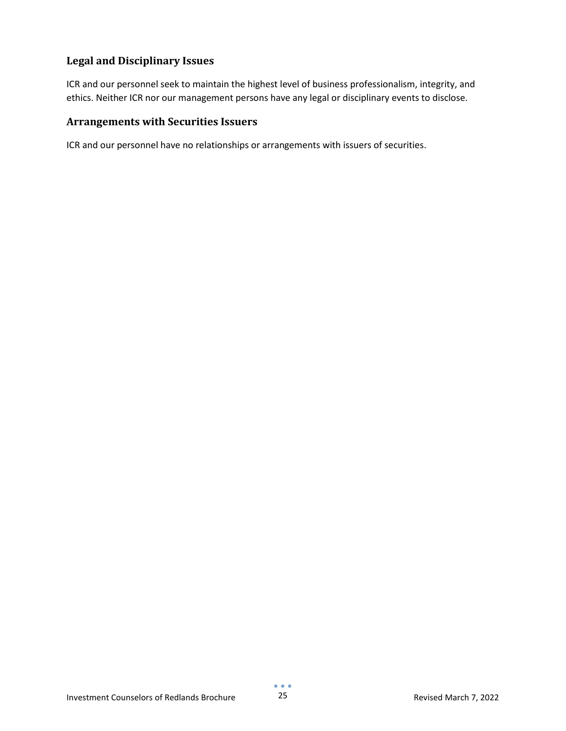#### <span id="page-24-0"></span>**Legal and Disciplinary Issues**

ICR and our personnel seek to maintain the highest level of business professionalism, integrity, and ethics. Neither ICR nor our management persons have any legal or disciplinary events to disclose.

#### <span id="page-24-1"></span>**Arrangements with Securities Issuers**

ICR and our personnel have no relationships or arrangements with issuers of securities.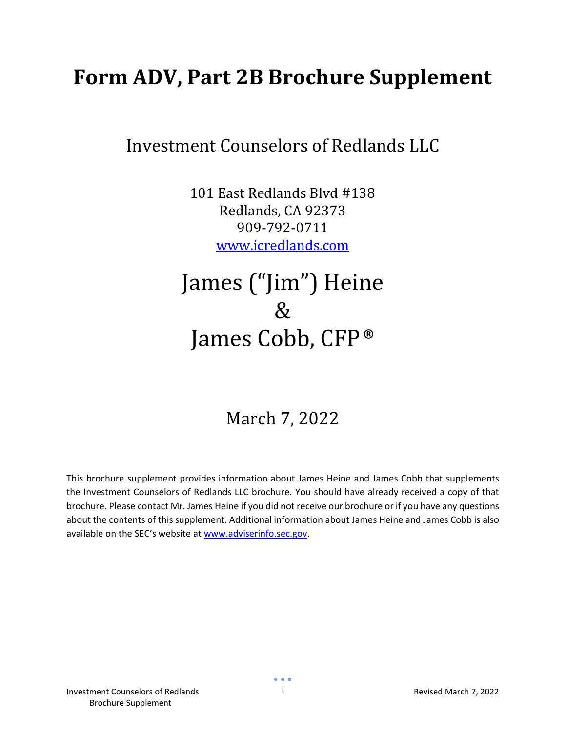## <span id="page-25-0"></span>**Form ADV, Part 2B Brochure Supplement**

## Investment Counselors of Redlands LLC

101 East Redlands Blvd #138 Redlands, CA 92373 909-792-0711 [www.icredlands.com](http://www.icredlands.com/)

## James ("Jim") Heine & James Cobb, CFP®

## March 7, 2022

<span id="page-25-1"></span>This brochure supplement provides information about James Heine and James Cobb that supplements the Investment Counselors of Redlands LLC brochure. You should have already received a copy of that brochure. Please contact Mr. James Heine if you did not receive our brochure or if you have any questions about the contents of this supplement. Additional information about James Heine and James Cobb is also available on the SEC's website at [www.adviserinfo.sec.gov.](http://www.adviserinfo.sec.gov/)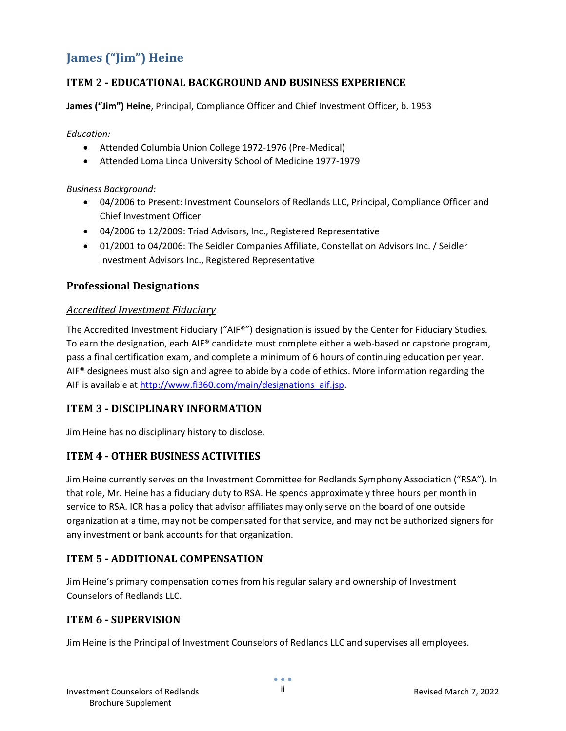## <span id="page-26-0"></span>**James ("Jim") Heine**

#### <span id="page-26-1"></span>**ITEM 2 - EDUCATIONAL BACKGROUND AND BUSINESS EXPERIENCE**

**James ("Jim") Heine**, Principal, Compliance Officer and Chief Investment Officer, b. 1953

*Education:*

- Attended Columbia Union College 1972-1976 (Pre-Medical)
- Attended Loma Linda University School of Medicine 1977-1979

*Business Background:*

- 04/2006 to Present: Investment Counselors of Redlands LLC, Principal, Compliance Officer and Chief Investment Officer
- 04/2006 to 12/2009: Triad Advisors, Inc., Registered Representative
- 01/2001 to 04/2006: The Seidler Companies Affiliate, Constellation Advisors Inc. / Seidler Investment Advisors Inc., Registered Representative

#### <span id="page-26-2"></span>**Professional Designations**

#### <span id="page-26-3"></span>*Accredited Investment Fiduciary*

The Accredited Investment Fiduciary ("AIF®") designation is issued by the Center for Fiduciary Studies. To earn the designation, each AIF® candidate must complete either a web-based or capstone program, pass a final certification exam, and complete a minimum of 6 hours of continuing education per year. AIF<sup>®</sup> designees must also sign and agree to abide by a code of ethics. More information regarding the AIF is available a[t http://www.fi360.com/main/designations\\_aif.jsp.](http://www.fi360.com/main/designations_aif.jsp)

#### <span id="page-26-4"></span>**ITEM 3 - DISCIPLINARY INFORMATION**

<span id="page-26-5"></span>Jim Heine has no disciplinary history to disclose.

#### **ITEM 4 - OTHER BUSINESS ACTIVITIES**

Jim Heine currently serves on the Investment Committee for Redlands Symphony Association ("RSA"). In that role, Mr. Heine has a fiduciary duty to RSA. He spends approximately three hours per month in service to RSA. ICR has a policy that advisor affiliates may only serve on the board of one outside organization at a time, may not be compensated for that service, and may not be authorized signers for any investment or bank accounts for that organization.

#### <span id="page-26-6"></span>**ITEM 5 - ADDITIONAL COMPENSATION**

Jim Heine's primary compensation comes from his regular salary and ownership of Investment Counselors of Redlands LLC.

#### <span id="page-26-7"></span>**ITEM 6 - SUPERVISION**

Jim Heine is the Principal of Investment Counselors of Redlands LLC and supervises all employees.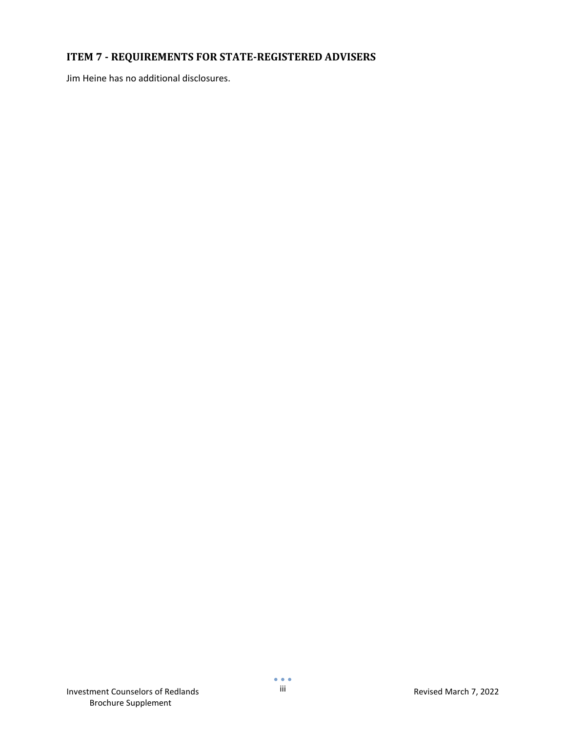### <span id="page-27-0"></span>**ITEM 7 - REQUIREMENTS FOR STATE-REGISTERED ADVISERS**

Jim Heine has no additional disclosures.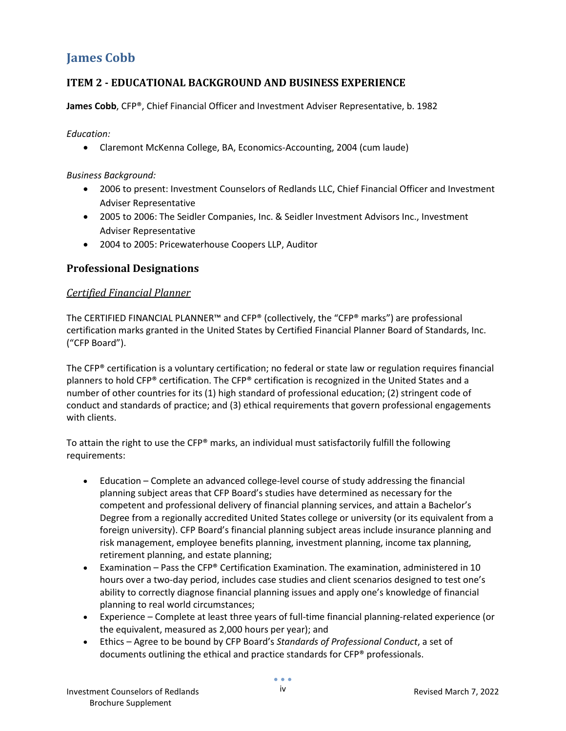## <span id="page-28-0"></span>**James Cobb**

#### <span id="page-28-1"></span>**ITEM 2 - EDUCATIONAL BACKGROUND AND BUSINESS EXPERIENCE**

**James Cobb**, CFP®, Chief Financial Officer and Investment Adviser Representative, b. 1982

*Education:*

• Claremont McKenna College, BA, Economics-Accounting, 2004 (cum laude)

*Business Background:*

- 2006 to present: Investment Counselors of Redlands LLC, Chief Financial Officer and Investment Adviser Representative
- 2005 to 2006: The Seidler Companies, Inc. & Seidler Investment Advisors Inc., Investment Adviser Representative
- 2004 to 2005: Pricewaterhouse Coopers LLP, Auditor

#### <span id="page-28-2"></span>**Professional Designations**

#### <span id="page-28-3"></span>*Certified Financial Planner*

The CERTIFIED FINANCIAL PLANNER™ and CFP® (collectively, the "CFP® marks") are professional certification marks granted in the United States by Certified Financial Planner Board of Standards, Inc. ("CFP Board").

The CFP® certification is a voluntary certification; no federal or state law or regulation requires financial planners to hold CFP® certification. The CFP® certification is recognized in the United States and a number of other countries for its (1) high standard of professional education; (2) stringent code of conduct and standards of practice; and (3) ethical requirements that govern professional engagements with clients.

To attain the right to use the CFP® marks, an individual must satisfactorily fulfill the following requirements:

- Education Complete an advanced college-level course of study addressing the financial planning subject areas that CFP Board's studies have determined as necessary for the competent and professional delivery of financial planning services, and attain a Bachelor's Degree from a regionally accredited United States college or university (or its equivalent from a foreign university). CFP Board's financial planning subject areas include insurance planning and risk management, employee benefits planning, investment planning, income tax planning, retirement planning, and estate planning;
- Examination Pass the CFP® Certification Examination. The examination, administered in 10 hours over a two-day period, includes case studies and client scenarios designed to test one's ability to correctly diagnose financial planning issues and apply one's knowledge of financial planning to real world circumstances;
- Experience Complete at least three years of full-time financial planning-related experience (or the equivalent, measured as 2,000 hours per year); and
- Ethics Agree to be bound by CFP Board's *Standards of Professional Conduct*, a set of documents outlining the ethical and practice standards for CFP® professionals.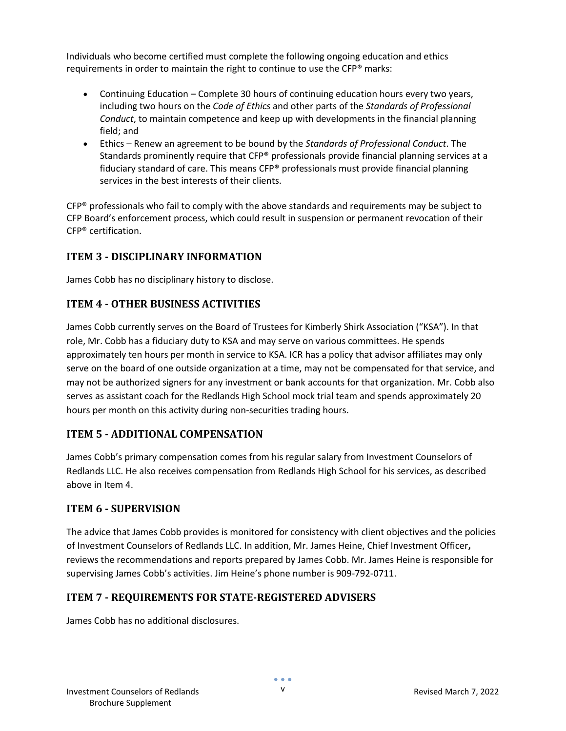Individuals who become certified must complete the following ongoing education and ethics requirements in order to maintain the right to continue to use the CFP® marks:

- Continuing Education Complete 30 hours of continuing education hours every two years, including two hours on the *Code of Ethics* and other parts of the *Standards of Professional Conduct*, to maintain competence and keep up with developments in the financial planning field; and
- Ethics Renew an agreement to be bound by the *Standards of Professional Conduct*. The Standards prominently require that CFP® professionals provide financial planning services at a fiduciary standard of care. This means CFP® professionals must provide financial planning services in the best interests of their clients.

CFP® professionals who fail to comply with the above standards and requirements may be subject to CFP Board's enforcement process, which could result in suspension or permanent revocation of their CFP® certification.

#### <span id="page-29-0"></span>**ITEM 3 - DISCIPLINARY INFORMATION**

<span id="page-29-1"></span>James Cobb has no disciplinary history to disclose.

#### **ITEM 4 - OTHER BUSINESS ACTIVITIES**

James Cobb currently serves on the Board of Trustees for Kimberly Shirk Association ("KSA"). In that role, Mr. Cobb has a fiduciary duty to KSA and may serve on various committees. He spends approximately ten hours per month in service to KSA. ICR has a policy that advisor affiliates may only serve on the board of one outside organization at a time, may not be compensated for that service, and may not be authorized signers for any investment or bank accounts for that organization. Mr. Cobb also serves as assistant coach for the Redlands High School mock trial team and spends approximately 20 hours per month on this activity during non-securities trading hours.

#### <span id="page-29-2"></span>**ITEM 5 - ADDITIONAL COMPENSATION**

James Cobb's primary compensation comes from his regular salary from Investment Counselors of Redlands LLC. He also receives compensation from Redlands High School for his services, as described above in Item 4.

#### <span id="page-29-3"></span>**ITEM 6 - SUPERVISION**

The advice that James Cobb provides is monitored for consistency with client objectives and the policies of Investment Counselors of Redlands LLC. In addition, Mr. James Heine, Chief Investment Officer**,**  reviews the recommendations and reports prepared by James Cobb. Mr. James Heine is responsible for supervising James Cobb's activities. Jim Heine's phone number is 909-792-0711.

#### <span id="page-29-4"></span>**ITEM 7 - REQUIREMENTS FOR STATE-REGISTERED ADVISERS**

James Cobb has no additional disclosures.